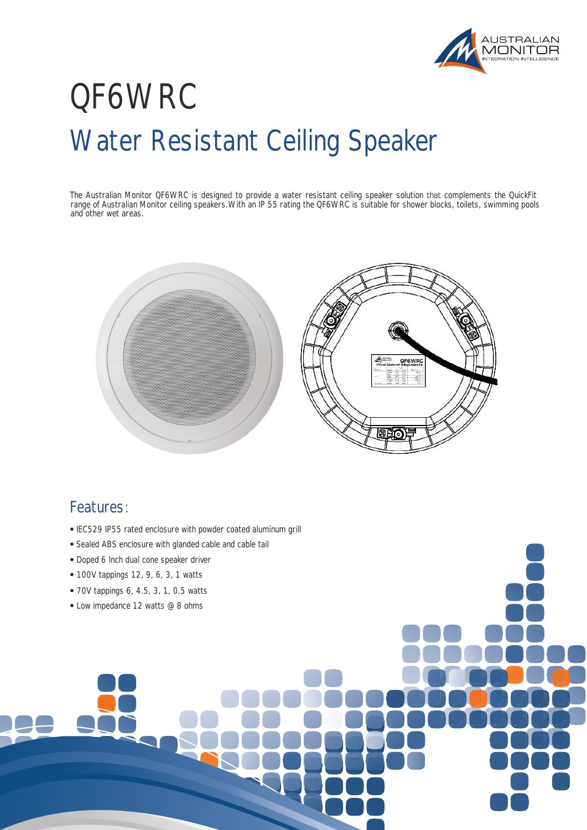

## Water Resistant Ceiling Speaker QF6WRC

range of Australian Monitor ceiling speakers. With an IP 55 rating the QF6WRC is suitable for shower blocks, toilets, swimming pools and other wet areas. The Australian Monitor QF6WRC is designed to provide a water resistant ceiling speaker solution that complements the QuickFit



## Features:

- IEC529 IP55 rated enclosure with powder coated aluminum grill
- Sealed ABS enclosure with glanded cable and cable tail
- Doped 6 Inch dual cone speaker driver
- 100V tappings 12, 9, 6, 3, 1 watts
- 70V tappings 6, 4.5, 3, 1, 0.5 watts
- Low impedance 12 watts @ 8 ohms